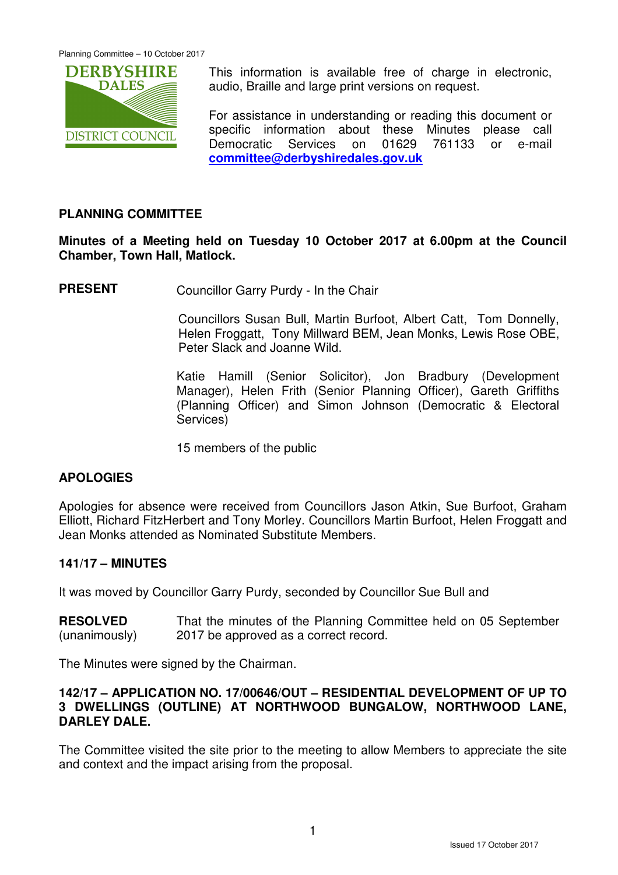

This information is available free of charge in electronic, audio, Braille and large print versions on request.

For assistance in understanding or reading this document or specific information about these Minutes please call Democratic Services on 01629 761133 or e-mail **committee@derbyshiredales.gov.uk**

# **PLANNING COMMITTEE**

**Minutes of a Meeting held on Tuesday 10 October 2017 at 6.00pm at the Council Chamber, Town Hall, Matlock.** 

**PRESENT** Councillor Garry Purdy - In the Chair

 Councillors Susan Bull, Martin Burfoot, Albert Catt, Tom Donnelly, Helen Froggatt, Tony Millward BEM, Jean Monks, Lewis Rose OBE, Peter Slack and Joanne Wild.

Katie Hamill (Senior Solicitor), Jon Bradbury (Development Manager), Helen Frith (Senior Planning Officer), Gareth Griffiths (Planning Officer) and Simon Johnson (Democratic & Electoral Services)

15 members of the public

# **APOLOGIES**

Apologies for absence were received from Councillors Jason Atkin, Sue Burfoot, Graham Elliott, Richard FitzHerbert and Tony Morley. Councillors Martin Burfoot, Helen Froggatt and Jean Monks attended as Nominated Substitute Members.

# **141/17 – MINUTES**

It was moved by Councillor Garry Purdy, seconded by Councillor Sue Bull and

**RESOLVED** (unanimously) That the minutes of the Planning Committee held on 05 September 2017 be approved as a correct record.

The Minutes were signed by the Chairman.

### **142/17 – APPLICATION NO. 17/00646/OUT – RESIDENTIAL DEVELOPMENT OF UP TO 3 DWELLINGS (OUTLINE) AT NORTHWOOD BUNGALOW, NORTHWOOD LANE, DARLEY DALE.**

The Committee visited the site prior to the meeting to allow Members to appreciate the site and context and the impact arising from the proposal.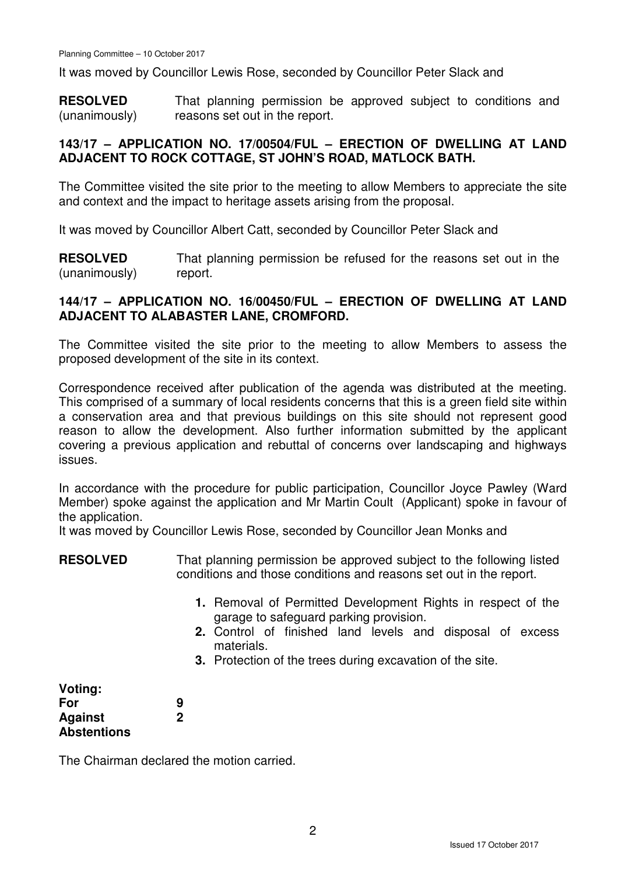It was moved by Councillor Lewis Rose, seconded by Councillor Peter Slack and

**RESOLVED** (unanimously) That planning permission be approved subject to conditions and reasons set out in the report.

## **143/17 – APPLICATION NO. 17/00504/FUL – ERECTION OF DWELLING AT LAND ADJACENT TO ROCK COTTAGE, ST JOHN'S ROAD, MATLOCK BATH.**

The Committee visited the site prior to the meeting to allow Members to appreciate the site and context and the impact to heritage assets arising from the proposal.

It was moved by Councillor Albert Catt, seconded by Councillor Peter Slack and

**RESOLVED** (unanimously) That planning permission be refused for the reasons set out in the report.

## **144/17 – APPLICATION NO. 16/00450/FUL – ERECTION OF DWELLING AT LAND ADJACENT TO ALABASTER LANE, CROMFORD.**

The Committee visited the site prior to the meeting to allow Members to assess the proposed development of the site in its context.

Correspondence received after publication of the agenda was distributed at the meeting. This comprised of a summary of local residents concerns that this is a green field site within a conservation area and that previous buildings on this site should not represent good reason to allow the development. Also further information submitted by the applicant covering a previous application and rebuttal of concerns over landscaping and highways issues.

In accordance with the procedure for public participation, Councillor Joyce Pawley (Ward Member) spoke against the application and Mr Martin Coult (Applicant) spoke in favour of the application.

It was moved by Councillor Lewis Rose, seconded by Councillor Jean Monks and

- **RESOLVED** That planning permission be approved subject to the following listed conditions and those conditions and reasons set out in the report.
	- **1.** Removal of Permitted Development Rights in respect of the garage to safeguard parking provision.
	- **2.** Control of finished land levels and disposal of excess materials.
	- **3.** Protection of the trees during excavation of the site.

| Voting:            |  |
|--------------------|--|
| For                |  |
| <b>Against</b>     |  |
| <b>Abstentions</b> |  |

The Chairman declared the motion carried.

**9 2**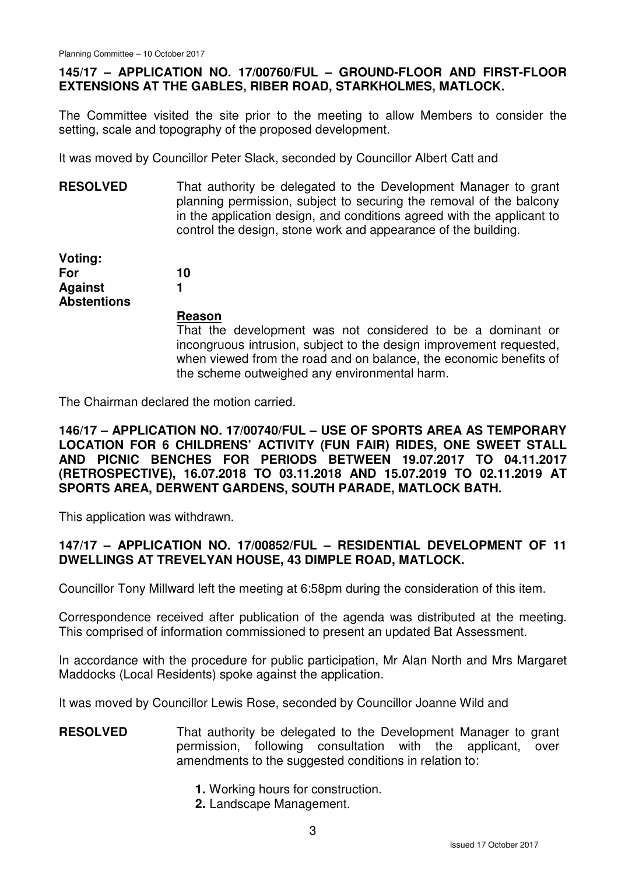# **145/17 – APPLICATION NO. 17/00760/FUL – GROUND-FLOOR AND FIRST-FLOOR EXTENSIONS AT THE GABLES, RIBER ROAD, STARKHOLMES, MATLOCK.**

The Committee visited the site prior to the meeting to allow Members to consider the setting, scale and topography of the proposed development.

It was moved by Councillor Peter Slack, seconded by Councillor Albert Catt and

**RESOLVED** That authority be delegated to the Development Manager to grant planning permission, subject to securing the removal of the balcony in the application design, and conditions agreed with the applicant to control the design, stone work and appearance of the building.

**Voting: For Against Abstentions** 

#### **Reason**

That the development was not considered to be a dominant or incongruous intrusion, subject to the design improvement requested, when viewed from the road and on balance, the economic benefits of the scheme outweighed any environmental harm.

The Chairman declared the motion carried.

**10 1**

**146/17 – APPLICATION NO. 17/00740/FUL – USE OF SPORTS AREA AS TEMPORARY LOCATION FOR 6 CHILDRENS' ACTIVITY (FUN FAIR) RIDES, ONE SWEET STALL AND PICNIC BENCHES FOR PERIODS BETWEEN 19.07.2017 TO 04.11.2017 (RETROSPECTIVE), 16.07.2018 TO 03.11.2018 AND 15.07.2019 TO 02.11.2019 AT SPORTS AREA, DERWENT GARDENS, SOUTH PARADE, MATLOCK BATH.** 

This application was withdrawn.

## **147/17 – APPLICATION NO. 17/00852/FUL – RESIDENTIAL DEVELOPMENT OF 11 DWELLINGS AT TREVELYAN HOUSE, 43 DIMPLE ROAD, MATLOCK.**

Councillor Tony Millward left the meeting at 6:58pm during the consideration of this item.

Correspondence received after publication of the agenda was distributed at the meeting. This comprised of information commissioned to present an updated Bat Assessment.

In accordance with the procedure for public participation, Mr Alan North and Mrs Margaret Maddocks (Local Residents) spoke against the application.

It was moved by Councillor Lewis Rose, seconded by Councillor Joanne Wild and

## **RESOLVED** That authority be delegated to the Development Manager to grant permission, following consultation with the applicant, over amendments to the suggested conditions in relation to:

- **1.** Working hours for construction.
- **2.** Landscape Management.